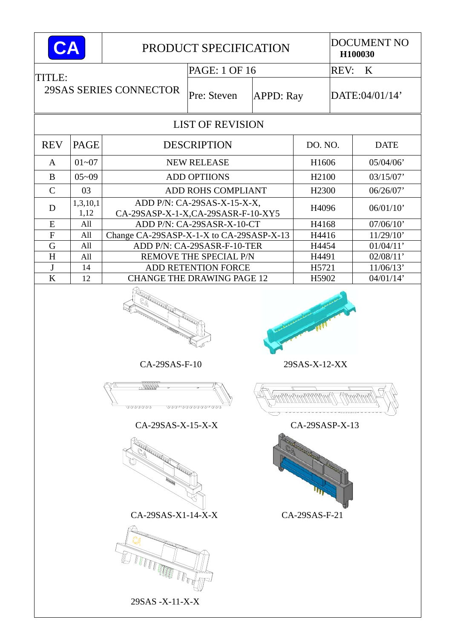| CA             |             |                                                                                                                                                                                                                                                                                                                                              | PRODUCT SPECIFICATION       |                  | <b>DOCUMENT NO</b><br>H100030                    |  |                |  |
|----------------|-------------|----------------------------------------------------------------------------------------------------------------------------------------------------------------------------------------------------------------------------------------------------------------------------------------------------------------------------------------------|-----------------------------|------------------|--------------------------------------------------|--|----------------|--|
| TITLE:         |             |                                                                                                                                                                                                                                                                                                                                              | PAGE: 1 OF 16               |                  | <b>REV:</b><br>$\bf K$                           |  |                |  |
|                |             | 29SAS SERIES CONNECTOR                                                                                                                                                                                                                                                                                                                       | Pre: Steven                 | <b>APPD: Ray</b> |                                                  |  | DATE:04/01/14' |  |
|                |             |                                                                                                                                                                                                                                                                                                                                              |                             |                  |                                                  |  |                |  |
| <b>REV</b>     | <b>PAGE</b> | <b>DESCRIPTION</b>                                                                                                                                                                                                                                                                                                                           | DO. NO.                     |                  | <b>DATE</b>                                      |  |                |  |
| $\mathbf{A}$   | $01 - 07$   | <b>NEW RELEASE</b>                                                                                                                                                                                                                                                                                                                           | H1606                       |                  | 05/04/06'                                        |  |                |  |
| B              | $05 - 09$   |                                                                                                                                                                                                                                                                                                                                              | <b>ADD OPTIIONS</b>         |                  | H <sub>2100</sub>                                |  | 03/15/07'      |  |
| $\mathcal{C}$  | 03          |                                                                                                                                                                                                                                                                                                                                              | ADD ROHS COMPLIANT          |                  | H <sub>2300</sub>                                |  | 06/26/07'      |  |
| D              | 1,3,10,1    |                                                                                                                                                                                                                                                                                                                                              | ADD P/N: CA-29SAS-X-15-X-X, |                  | H4096                                            |  | 06/01/10'      |  |
| E              | 1,12<br>All | CA-29SASP-X-1-X,CA-29SASR-F-10-XY5                                                                                                                                                                                                                                                                                                           | ADD P/N: CA-29SASR-X-10-CT  |                  | H4168                                            |  | 07/06/10'      |  |
| $\overline{F}$ | All         | Change CA-29SASP-X-1-X to CA-29SASP-X-13                                                                                                                                                                                                                                                                                                     |                             |                  | H4416                                            |  | 11/29/10'      |  |
| G              | All         |                                                                                                                                                                                                                                                                                                                                              | ADD P/N: CA-29SASR-F-10-TER |                  | H4454                                            |  | 01/04/11'      |  |
| H              | All         |                                                                                                                                                                                                                                                                                                                                              | REMOVE THE SPECIAL P/N      |                  | H4491                                            |  | 02/08/11'      |  |
| $\bf J$        | 14          |                                                                                                                                                                                                                                                                                                                                              | ADD RETENTION FORCE         |                  | H5721                                            |  | 11/06/13'      |  |
| $\bf K$        | 12          | <b>CHANGE THE DRAWING PAGE 12</b><br>H5902                                                                                                                                                                                                                                                                                                   |                             |                  |                                                  |  | 04/01/14'      |  |
|                |             | <b>RADIO COMPANY</b><br>a Sandwight of the Contractor of the Contractor of the Contractor of the Contractor of the Contractor of The Contractor of The Contractor of The Contractor of The Contractor of The Contractor of The Contractor of The Contr<br>$CA-29SAS-F-10$<br>voovoo<br>CA-29SAS-X-15-X-X<br>CA-29SAS-X1-14-X-X<br>TTTT TILLE | <u>aannannannanna</u>       |                  | 29SAS-X-12-XX<br>CA-29SASP-X-13<br>CA-29SAS-F-21 |  |                |  |
|                |             | 29SAS - X-11-X-X                                                                                                                                                                                                                                                                                                                             |                             |                  |                                                  |  |                |  |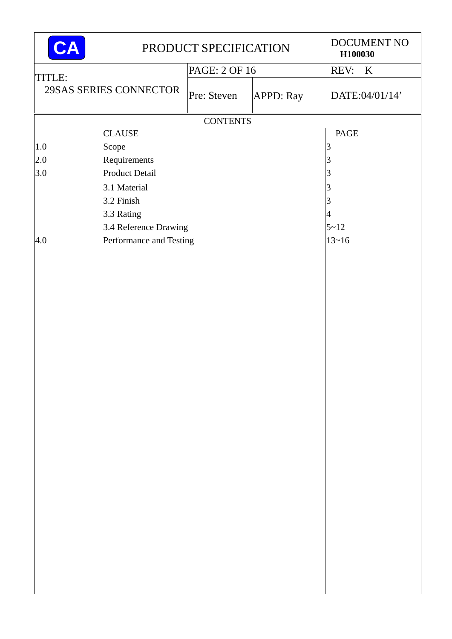| CA      | PRODUCT SPECIFICATION   | DOCUMENT NO<br>H100030 |                  |                        |
|---------|-------------------------|------------------------|------------------|------------------------|
|         |                         | PAGE: 2 OF 16          |                  | <b>REV:</b><br>$\bf K$ |
| TITLE:  | 29SAS SERIES CONNECTOR  | Pre: Steven            | <b>APPD: Ray</b> | DATE:04/01/14'         |
|         |                         | <b>CONTENTS</b>        |                  |                        |
|         | <b>CLAUSE</b>           | PAGE                   |                  |                        |
| $1.0\,$ | Scope                   |                        |                  | 3                      |
| 2.0     | Requirements            |                        |                  | $\overline{3}$         |
| 3.0     | Product Detail          |                        |                  | 3                      |
|         | 3.1 Material            |                        |                  | 3                      |
|         | 3.2 Finish              |                        |                  | 3                      |
|         | 3.3 Rating              |                        |                  | 4                      |
|         | 3.4 Reference Drawing   |                        |                  | $5 - 12$               |
| 4.0     | Performance and Testing |                        |                  | $13 - 16$              |
|         |                         |                        |                  |                        |
|         |                         |                        |                  |                        |
|         |                         |                        |                  |                        |
|         |                         |                        |                  |                        |
|         |                         |                        |                  |                        |
|         |                         |                        |                  |                        |
|         |                         |                        |                  |                        |
|         |                         |                        |                  |                        |
|         |                         |                        |                  |                        |
|         |                         |                        |                  |                        |
|         |                         |                        |                  |                        |
|         |                         |                        |                  |                        |
|         |                         |                        |                  |                        |
|         |                         |                        |                  |                        |
|         |                         |                        |                  |                        |
|         |                         |                        |                  |                        |
|         |                         |                        |                  |                        |
|         |                         |                        |                  |                        |
|         |                         |                        |                  |                        |
|         |                         |                        |                  |                        |
|         |                         |                        |                  |                        |
|         |                         |                        |                  |                        |
|         |                         |                        |                  |                        |
|         |                         |                        |                  |                        |
|         |                         |                        |                  |                        |
|         |                         |                        |                  |                        |
|         |                         |                        |                  |                        |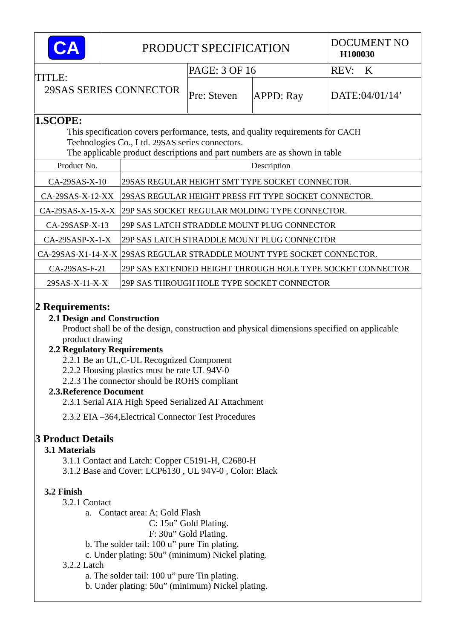|                                  |                      |                                                 | PRODUCT SPECIFICATION                                      |                                                                                 | <b>DOCUMENT NO</b><br>H100030                  |  |  |  |
|----------------------------------|----------------------|-------------------------------------------------|------------------------------------------------------------|---------------------------------------------------------------------------------|------------------------------------------------|--|--|--|
| TITLE:<br>29SAS SERIES CONNECTOR |                      |                                                 | PAGE: 3 OF 16                                              |                                                                                 | REV:<br>K                                      |  |  |  |
|                                  |                      |                                                 | Pre: Steven                                                | <b>APPD: Ray</b>                                                                | DATE:04/01/14'                                 |  |  |  |
| 1.SCOPE:                         |                      |                                                 |                                                            |                                                                                 |                                                |  |  |  |
|                                  |                      |                                                 |                                                            | This specification covers performance, tests, and quality requirements for CACH |                                                |  |  |  |
|                                  |                      | Technologies Co., Ltd. 29SAS series connectors. |                                                            |                                                                                 |                                                |  |  |  |
|                                  |                      |                                                 |                                                            | The applicable product descriptions and part numbers are as shown in table      |                                                |  |  |  |
| Product No.                      |                      |                                                 |                                                            | Description                                                                     |                                                |  |  |  |
| $CA-29SAS-X-10$                  |                      |                                                 |                                                            | 29SAS REGULAR HEIGHT SMT TYPE SOCKET CONNECTOR.                                 |                                                |  |  |  |
| $CA-29SAS-X-12-XX$               |                      |                                                 | 29SAS REGULAR HEIGHT PRESS FIT TYPE SOCKET CONNECTOR.      |                                                                                 |                                                |  |  |  |
| $CA-29SAS-X-15-X-X$              |                      |                                                 |                                                            |                                                                                 | 29P SAS SOCKET REGULAR MOLDING TYPE CONNECTOR. |  |  |  |
| $CA-29SASP-X-13$                 |                      |                                                 | 29P SAS LATCH STRADDLE MOUNT PLUG CONNECTOR                |                                                                                 |                                                |  |  |  |
| $CA-29SASP-X-1-X$                |                      |                                                 | 29P SAS LATCH STRADDLE MOUNT PLUG CONNECTOR                |                                                                                 |                                                |  |  |  |
|                                  | $CA-29SAS-X1-14-X-X$ |                                                 |                                                            | 29SAS REGULAR STRADDLE MOUNT TYPE SOCKET CONNECTOR.                             |                                                |  |  |  |
| CA-29SAS-F-21                    |                      |                                                 | 29P SAS EXTENDED HEIGHT THROUGH HOLE TYPE SOCKET CONNECTOR |                                                                                 |                                                |  |  |  |
| $29SAS-X-11-X-X$                 |                      |                                                 |                                                            | 29P SAS THROUGH HOLE TYPE SOCKET CONNECTOR                                      |                                                |  |  |  |

# **2 Requirements:**

### **2.1 Design and Construction**

Product shall be of the design, construction and physical dimensions specified on applicable product drawing

### **2.2 Regulatory Requirements**

- 2.2.1 Be an UL,C-UL Recognized Component
- 2.2.2 Housing plastics must be rate UL 94V-0
- 2.2.3 The connector should be ROHS compliant

# **2.3.Reference Document**

- 2.3.1 Serial ATA High Speed Serialized AT Attachment
- 2.3.2 EIA –364,Electrical Connector Test Procedures

# **3 Product Details**

# **3.1 Materials**

- 3.1.1 Contact and Latch: Copper C5191-H, C2680-H
- 3.1.2 Base and Cover: LCP6130 , UL 94V-0 , Color: Black

# **3.2 Finish**

- 3.2.1 Contact
	- a. Contact area: A: Gold Flash
		- C: 15u" Gold Plating.
		- F: 30u" Gold Plating.
	- b. The solder tail: 100 u" pure Tin plating.
	- c. Under plating: 50u" (minimum) Nickel plating.
- 3.2.2 Latch
	- a. The solder tail: 100 u" pure Tin plating.
	- b. Under plating: 50u" (minimum) Nickel plating.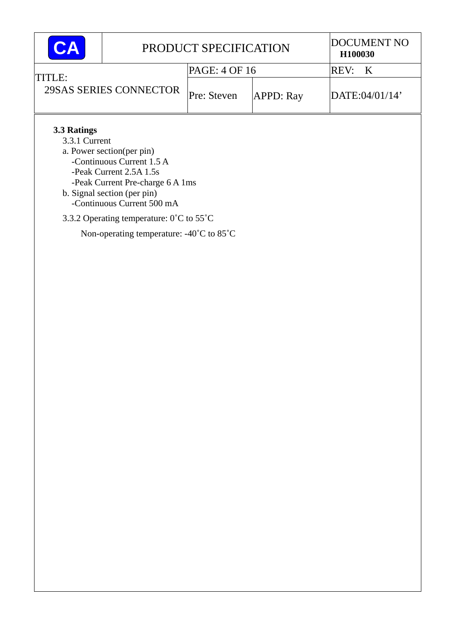| CА                                                                                                                                                                                                                  |                        | PRODUCT SPECIFICATION           | <b>DOCUMENT NO</b><br>H100030 |                |  |  |  |  |
|---------------------------------------------------------------------------------------------------------------------------------------------------------------------------------------------------------------------|------------------------|---------------------------------|-------------------------------|----------------|--|--|--|--|
| TITLE:                                                                                                                                                                                                              |                        | PAGE: 4 OF 16                   |                               | REV:<br>K      |  |  |  |  |
|                                                                                                                                                                                                                     | 29SAS SERIES CONNECTOR | Pre: Steven<br><b>APPD: Ray</b> |                               | DATE:04/01/14' |  |  |  |  |
| 3.3 Ratings<br>3.3.1 Current<br>a. Power section (per pin)<br>-Continuous Current 1.5 A<br>-Peak Current 2.5A 1.5s<br>-Peak Current Pre-charge 6 A 1ms<br>b. Signal section (per pin)<br>-Continuous Current 500 mA |                        |                                 |                               |                |  |  |  |  |
| 3.3.2 Operating temperature: 0°C to 55°C                                                                                                                                                                            |                        |                                 |                               |                |  |  |  |  |
| Non-operating temperature: $-40^{\circ}$ C to 85 <sup>°</sup> C                                                                                                                                                     |                        |                                 |                               |                |  |  |  |  |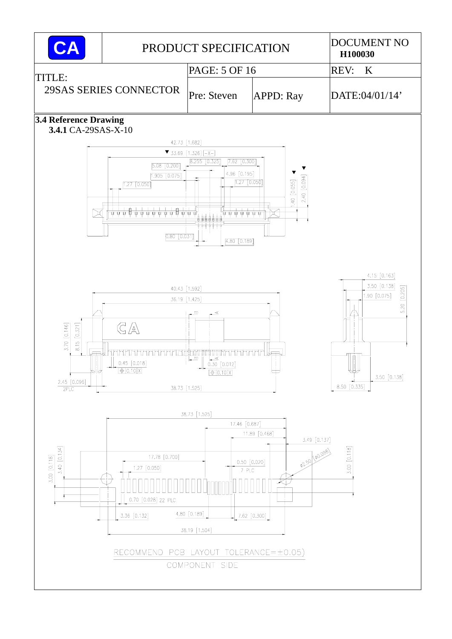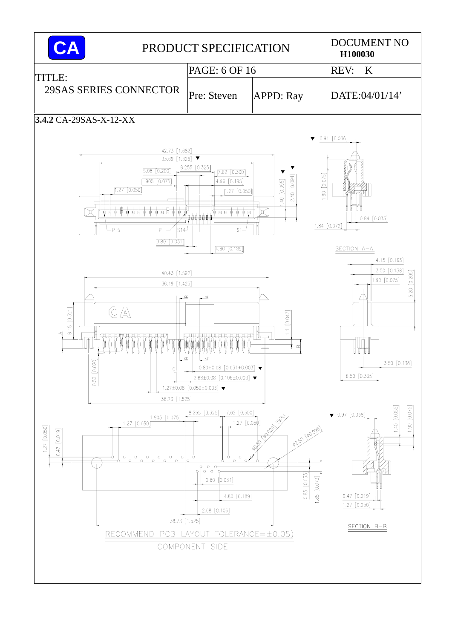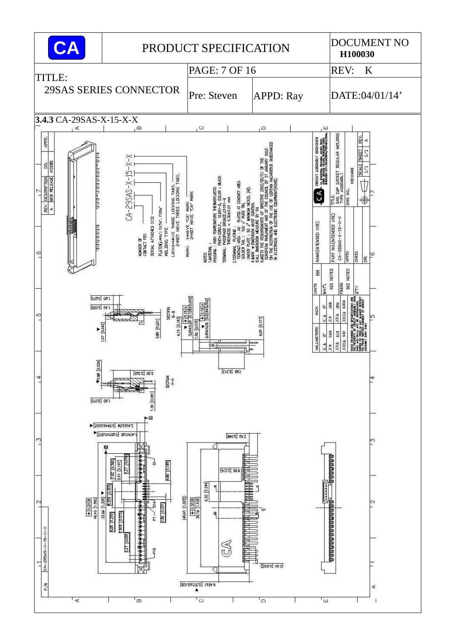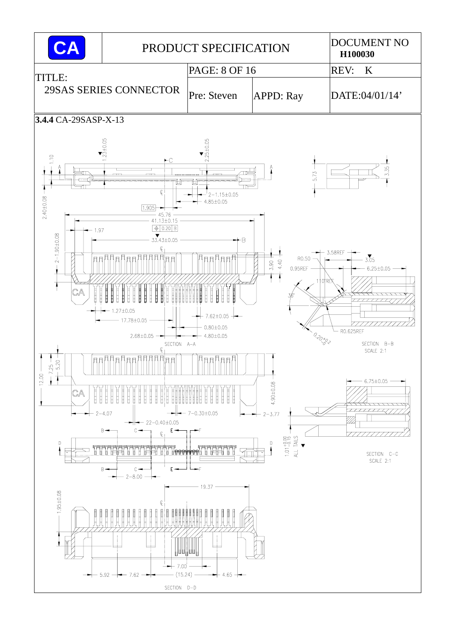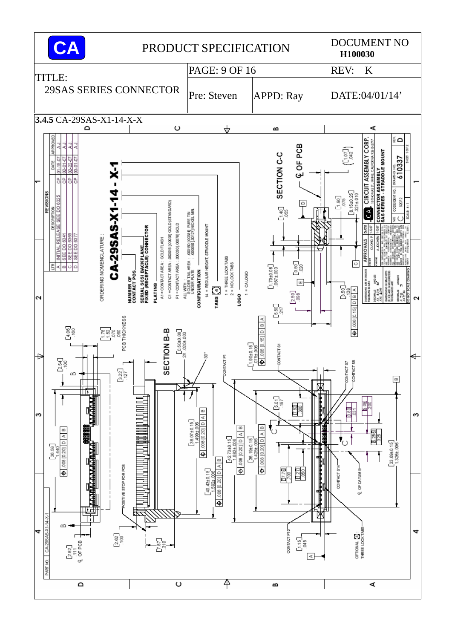![](_page_8_Figure_0.jpeg)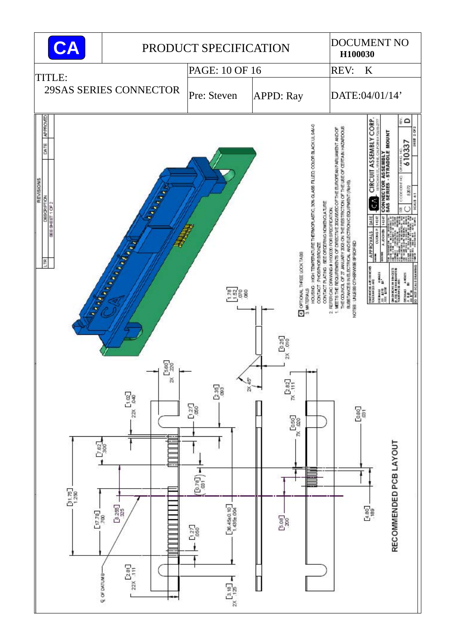![](_page_9_Figure_0.jpeg)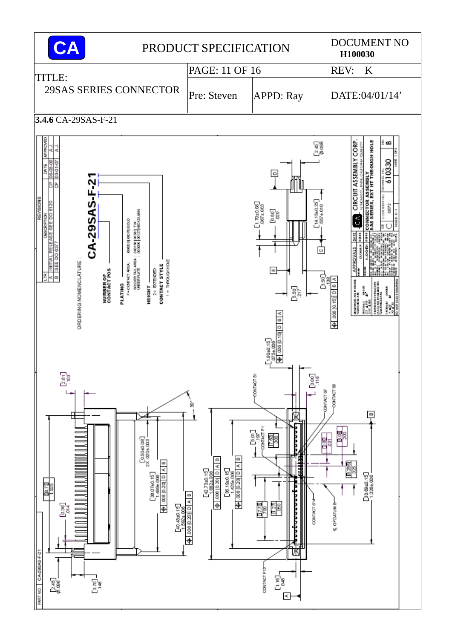![](_page_10_Figure_0.jpeg)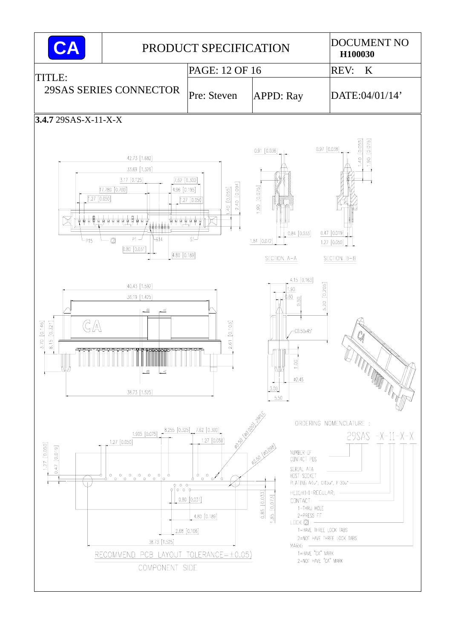![](_page_11_Figure_0.jpeg)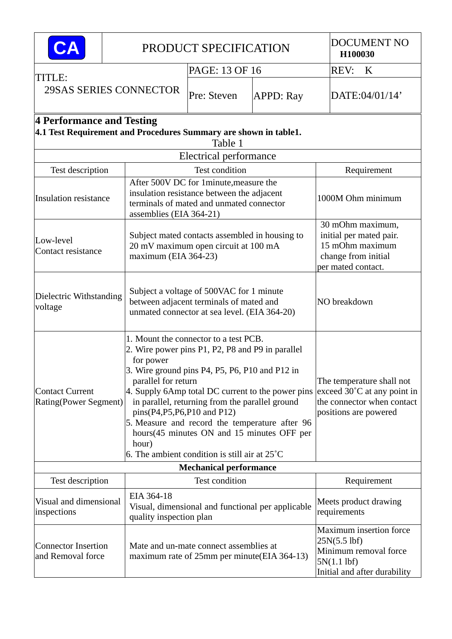| CA                                                                                            |  |                                                                                                                                                                                                                                                                                                                                                                                                                                                                                                                                 | PRODUCT SPECIFICATION                                                                                                            |                  | <b>DOCUMENT NO</b><br>H100030 |                                                                                                                |  |  |
|-----------------------------------------------------------------------------------------------|--|---------------------------------------------------------------------------------------------------------------------------------------------------------------------------------------------------------------------------------------------------------------------------------------------------------------------------------------------------------------------------------------------------------------------------------------------------------------------------------------------------------------------------------|----------------------------------------------------------------------------------------------------------------------------------|------------------|-------------------------------|----------------------------------------------------------------------------------------------------------------|--|--|
|                                                                                               |  |                                                                                                                                                                                                                                                                                                                                                                                                                                                                                                                                 | PAGE: 13 OF 16                                                                                                                   |                  |                               | <b>REV:</b><br>$\bf K$                                                                                         |  |  |
| TITLE:<br>29SAS SERIES CONNECTOR                                                              |  |                                                                                                                                                                                                                                                                                                                                                                                                                                                                                                                                 | Pre: Steven                                                                                                                      | <b>APPD: Ray</b> |                               | DATE:04/01/14'                                                                                                 |  |  |
| 4 Performance and Testing<br>4.1 Test Requirement and Procedures Summary are shown in table1. |  |                                                                                                                                                                                                                                                                                                                                                                                                                                                                                                                                 |                                                                                                                                  |                  |                               |                                                                                                                |  |  |
|                                                                                               |  |                                                                                                                                                                                                                                                                                                                                                                                                                                                                                                                                 | Electrical performance                                                                                                           |                  |                               |                                                                                                                |  |  |
| Test description                                                                              |  |                                                                                                                                                                                                                                                                                                                                                                                                                                                                                                                                 | Test condition                                                                                                                   |                  |                               | Requirement                                                                                                    |  |  |
| <b>Insulation resistance</b>                                                                  |  | assemblies (EIA 364-21)                                                                                                                                                                                                                                                                                                                                                                                                                                                                                                         | After 500V DC for 1minute, measure the<br>insulation resistance between the adjacent<br>terminals of mated and unmated connector |                  | 1000M Ohm minimum             |                                                                                                                |  |  |
| Low-level<br>Contact resistance                                                               |  | Subject mated contacts assembled in housing to<br>20 mV maximum open circuit at 100 mA<br>maximum (EIA 364-23)                                                                                                                                                                                                                                                                                                                                                                                                                  |                                                                                                                                  |                  |                               | 30 mOhm maximum,<br>initial per mated pair.<br>15 mOhm maximum<br>change from initial<br>per mated contact.    |  |  |
| Dielectric Withstanding<br>voltage                                                            |  | Subject a voltage of 500VAC for 1 minute<br>between adjacent terminals of mated and<br>unmated connector at sea level. (EIA 364-20)                                                                                                                                                                                                                                                                                                                                                                                             |                                                                                                                                  |                  |                               | NO breakdown                                                                                                   |  |  |
| <b>Contact Current</b><br>Rating(Power Segment)                                               |  | 1. Mount the connector to a test PCB.<br>2. Wire power pins P1, P2, P8 and P9 in parallel<br>for power<br>3. Wire ground pins P4, P5, P6, P10 and P12 in<br>parallel for return<br>4. Supply 6Amp total DC current to the power pins exceed $30^{\circ}$ C at any point in<br>in parallel, returning from the parallel ground<br>pins(P4,P5,P6,P10 and P12)<br>5. Measure and record the temperature after 96<br>hours(45 minutes ON and 15 minutes OFF per<br>hour)<br>6. The ambient condition is still air at $25^{\circ}$ C |                                                                                                                                  |                  |                               | The temperature shall not<br>the connector when contact<br>positions are powered                               |  |  |
|                                                                                               |  |                                                                                                                                                                                                                                                                                                                                                                                                                                                                                                                                 | <b>Mechanical performance</b>                                                                                                    |                  |                               |                                                                                                                |  |  |
| Test description                                                                              |  | Test condition                                                                                                                                                                                                                                                                                                                                                                                                                                                                                                                  |                                                                                                                                  |                  |                               | Requirement                                                                                                    |  |  |
| Visual and dimensional<br>inspections                                                         |  | EIA 364-18<br>quality inspection plan                                                                                                                                                                                                                                                                                                                                                                                                                                                                                           | Visual, dimensional and functional per applicable                                                                                |                  |                               | Meets product drawing<br>requirements                                                                          |  |  |
| <b>Connector Insertion</b><br>and Removal force                                               |  |                                                                                                                                                                                                                                                                                                                                                                                                                                                                                                                                 | Mate and un-mate connect assemblies at<br>maximum rate of 25mm per minute (EIA 364-13)                                           |                  |                               | Maximum insertion force<br>$25N(5.5)$ lbf)<br>Minimum removal force<br>5N(1.1)<br>Initial and after durability |  |  |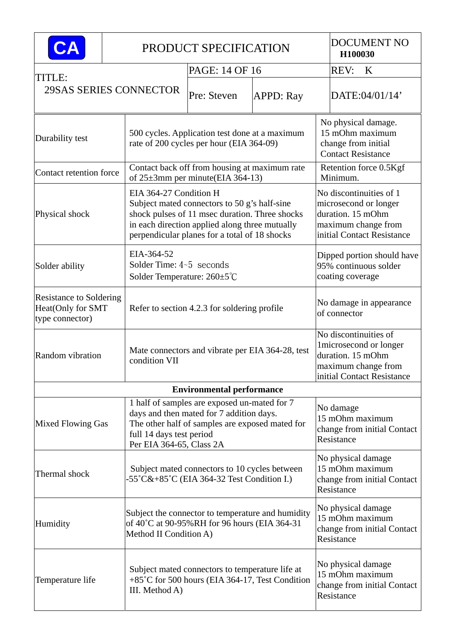|                                                                        |  |                                                                                                    | PRODUCT SPECIFICATION                                                                                                                                                                             |                  | <b>DOCUMENT NO</b><br>H100030                                                                                              |                                                                                                    |  |  |
|------------------------------------------------------------------------|--|----------------------------------------------------------------------------------------------------|---------------------------------------------------------------------------------------------------------------------------------------------------------------------------------------------------|------------------|----------------------------------------------------------------------------------------------------------------------------|----------------------------------------------------------------------------------------------------|--|--|
|                                                                        |  |                                                                                                    | PAGE: 14 OF 16                                                                                                                                                                                    |                  |                                                                                                                            | <b>REV:</b><br>K                                                                                   |  |  |
| TITLE:<br>29SAS SERIES CONNECTOR                                       |  |                                                                                                    | Pre: Steven                                                                                                                                                                                       | <b>APPD: Ray</b> |                                                                                                                            | DATE:04/01/14'                                                                                     |  |  |
| Durability test                                                        |  |                                                                                                    | 500 cycles. Application test done at a maximum<br>rate of 200 cycles per hour (EIA 364-09)                                                                                                        |                  |                                                                                                                            | No physical damage.<br>15 mOhm maximum<br>change from initial<br><b>Contact Resistance</b>         |  |  |
| Contact retention force                                                |  |                                                                                                    | Contact back off from housing at maximum rate<br>of $25\pm3$ mm per minute (EIA 364-13)                                                                                                           |                  |                                                                                                                            | Retention force 0.5Kgf<br>Minimum.                                                                 |  |  |
| Physical shock                                                         |  | EIA 364-27 Condition H                                                                             | Subject mated connectors to 50 g's half-sine<br>shock pulses of 11 msec duration. Three shocks<br>in each direction applied along three mutually<br>perpendicular planes for a total of 18 shocks |                  | No discontinuities of 1<br>microsecond or longer<br>duration. 15 mOhm<br>maximum change from<br>initial Contact Resistance |                                                                                                    |  |  |
| Solder ability                                                         |  | EIA-364-52<br>Solder Time: $4-5$ seconds<br>Solder Temperature: $260 \pm 5^{\circ}$ C              |                                                                                                                                                                                                   |                  |                                                                                                                            | Dipped portion should have<br>95% continuous solder<br>coating coverage                            |  |  |
| <b>Resistance to Soldering</b><br>Heat(Only for SMT<br>type connector) |  | Refer to section 4.2.3 for soldering profile                                                       |                                                                                                                                                                                                   |                  |                                                                                                                            | No damage in appearance<br>of connector                                                            |  |  |
| Random vibration                                                       |  | Mate connectors and vibrate per EIA 364-28, test<br>condition VII                                  |                                                                                                                                                                                                   |                  |                                                                                                                            | 1microsecond or longer<br>duration. 15 mOhm<br>maximum change from<br>initial Contact Resistance   |  |  |
|                                                                        |  |                                                                                                    | <b>Environmental performance</b>                                                                                                                                                                  |                  |                                                                                                                            |                                                                                                    |  |  |
| <b>Mixed Flowing Gas</b>                                               |  | full 14 days test period<br>Per EIA 364-65, Class 2A                                               | 1 half of samples are exposed un-mated for 7<br>days and then mated for 7 addition days.<br>The other half of samples are exposed mated for                                                       |                  |                                                                                                                            | No discontinuities of<br>No damage<br>15 mOhm maximum<br>change from initial Contact<br>Resistance |  |  |
| Thermal shock                                                          |  |                                                                                                    | Subject mated connectors to 10 cycles between<br>-55°C&+85°C (EIA 364-32 Test Condition I.)                                                                                                       |                  |                                                                                                                            | No physical damage<br>15 mOhm maximum<br>change from initial Contact<br>Resistance                 |  |  |
| Humidity<br>Method II Condition A)                                     |  | Subject the connector to temperature and humidity<br>of 40°C at 90-95%RH for 96 hours (EIA 364-31) |                                                                                                                                                                                                   |                  | No physical damage<br>15 mOhm maximum<br>change from initial Contact<br>Resistance                                         |                                                                                                    |  |  |
| Temperature life                                                       |  | III. Method A)                                                                                     | Subject mated connectors to temperature life at<br>+85°C for 500 hours (EIA 364-17, Test Condition                                                                                                |                  |                                                                                                                            | No physical damage<br>15 mOhm maximum<br>change from initial Contact<br>Resistance                 |  |  |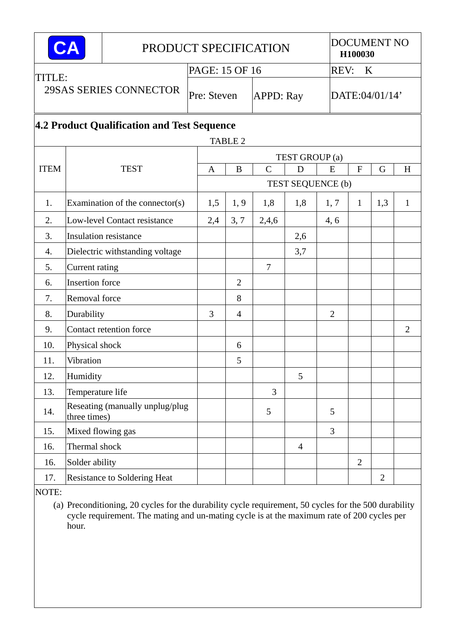| PRODUCT SPECIFICATION |                                             |                                 |                |                  |               |                   |                | <b>DOCUMENT NO</b><br>H100030 |                |                |  |
|-----------------------|---------------------------------------------|---------------------------------|----------------|------------------|---------------|-------------------|----------------|-------------------------------|----------------|----------------|--|
| <b>TITLE:</b>         |                                             |                                 | PAGE: 15 OF 16 |                  |               |                   |                | REV:<br>$\bf K$               |                |                |  |
|                       | 29SAS SERIES CONNECTOR                      | Pre: Steven                     |                | <b>APPD: Ray</b> |               |                   | DATE:04/01/14' |                               |                |                |  |
|                       | 4.2 Product Qualification and Test Sequence |                                 |                |                  |               |                   |                |                               |                |                |  |
|                       |                                             |                                 |                | <b>TABLE 2</b>   |               |                   |                |                               |                |                |  |
|                       |                                             |                                 | A              |                  |               | TEST GROUP (a)    |                |                               |                |                |  |
| <b>ITEM</b>           |                                             | <b>TEST</b>                     |                | B                | $\mathcal{C}$ | D                 | E              | $\mathbf{F}$                  | G              | H              |  |
|                       |                                             |                                 |                |                  |               | TEST SEQUENCE (b) |                |                               |                |                |  |
| 1.                    | Examination of the connector $(s)$          | 1,5                             | 1, 9           | 1,8              | 1,8           | 1, 7              | $\mathbf{1}$   | 1,3                           | $\mathbf{1}$   |                |  |
| 2.                    | Low-level Contact resistance                | 2,4                             | 3, 7           | 2,4,6            |               | 4, 6              |                |                               |                |                |  |
| 3.                    |                                             | <b>Insulation resistance</b>    |                |                  |               | 2,6               |                |                               |                |                |  |
| 4.                    |                                             | Dielectric withstanding voltage |                |                  |               | 3,7               |                |                               |                |                |  |
| 5.                    | Current rating                              |                                 |                |                  | $\tau$        |                   |                |                               |                |                |  |
| 6.                    | <b>Insertion</b> force                      |                                 |                | $\overline{2}$   |               |                   |                |                               |                |                |  |
| 7.                    | Removal force                               |                                 |                | 8                |               |                   |                |                               |                |                |  |
| 8.                    | Durability                                  |                                 | 3              | $\overline{4}$   |               |                   | $\overline{2}$ |                               |                |                |  |
| 9.                    |                                             | Contact retention force         |                |                  |               |                   |                |                               |                | $\overline{2}$ |  |
| 10.                   | Physical shock                              |                                 |                | 6                |               |                   |                |                               |                |                |  |
| 11.                   | Vibration                                   |                                 |                | 5                |               |                   |                |                               |                |                |  |
| 12.                   | Humidity                                    |                                 |                |                  |               | 5                 |                |                               |                |                |  |
| 13.                   | Temperature life                            |                                 |                |                  | 3             |                   |                |                               |                |                |  |
| 14.                   | three times)                                | Reseating (manually unplug/plug |                |                  | 5             |                   | 5              |                               |                |                |  |
| 15.                   | Mixed flowing gas                           |                                 |                |                  |               |                   | 3              |                               |                |                |  |
| 16.                   | Thermal shock                               |                                 |                |                  |               | $\overline{4}$    |                |                               |                |                |  |
| 16.                   | Solder ability                              |                                 |                |                  |               |                   |                | $\overline{2}$                |                |                |  |
| 17.                   |                                             | Resistance to Soldering Heat    |                |                  |               |                   |                |                               | $\overline{2}$ |                |  |
| MDTE                  |                                             |                                 |                |                  |               |                   |                |                               |                |                |  |

NOTE:

(a) Preconditioning, 20 cycles for the durability cycle requirement, 50 cycles for the 500 durability cycle requirement. The mating and un-mating cycle is at the maximum rate of 200 cycles per hour.